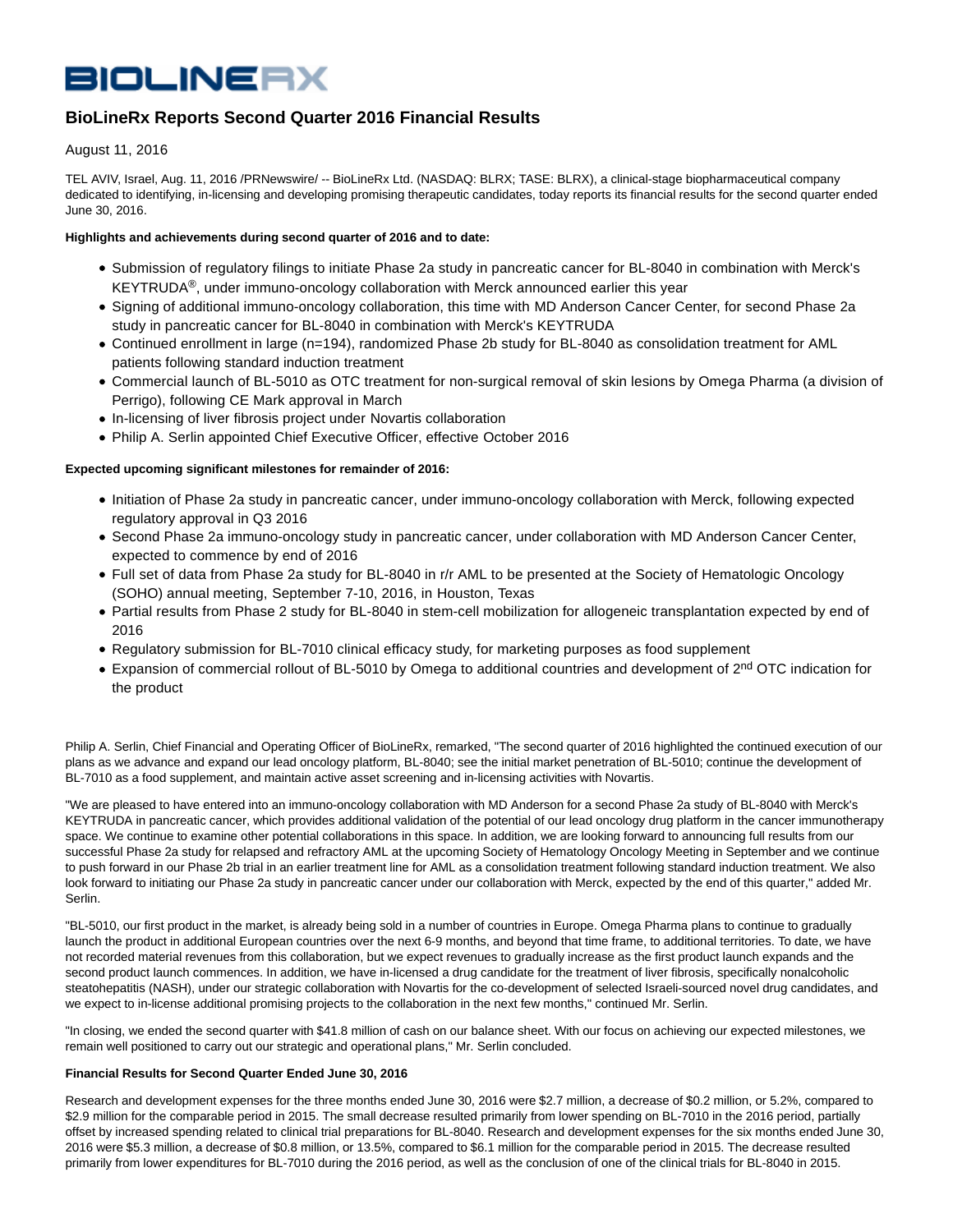# **BIOLINERX**

## **BioLineRx Reports Second Quarter 2016 Financial Results**

### August 11, 2016

TEL AVIV, Israel, Aug. 11, 2016 /PRNewswire/ -- BioLineRx Ltd. (NASDAQ: BLRX; TASE: BLRX), a clinical-stage biopharmaceutical company dedicated to identifying, in-licensing and developing promising therapeutic candidates, today reports its financial results for the second quarter ended June 30, 2016.

#### **Highlights and achievements during second quarter of 2016 and to date:**

- Submission of regulatory filings to initiate Phase 2a study in pancreatic cancer for BL-8040 in combination with Merck's KEYTRUDA®, under immuno-oncology collaboration with Merck announced earlier this year
- Signing of additional immuno-oncology collaboration, this time with MD Anderson Cancer Center, for second Phase 2a study in pancreatic cancer for BL-8040 in combination with Merck's KEYTRUDA
- Continued enrollment in large (n=194), randomized Phase 2b study for BL-8040 as consolidation treatment for AML patients following standard induction treatment
- Commercial launch of BL-5010 as OTC treatment for non-surgical removal of skin lesions by Omega Pharma (a division of Perrigo), following CE Mark approval in March
- In-licensing of liver fibrosis project under Novartis collaboration
- Philip A. Serlin appointed Chief Executive Officer, effective October 2016

#### **Expected upcoming significant milestones for remainder of 2016:**

- Initiation of Phase 2a study in pancreatic cancer, under immuno-oncology collaboration with Merck, following expected regulatory approval in Q3 2016
- Second Phase 2a immuno-oncology study in pancreatic cancer, under collaboration with MD Anderson Cancer Center, expected to commence by end of 2016
- Full set of data from Phase 2a study for BL-8040 in r/r AML to be presented at the Society of Hematologic Oncology (SOHO) annual meeting, September 7-10, 2016, in Houston, Texas
- Partial results from Phase 2 study for BL-8040 in stem-cell mobilization for allogeneic transplantation expected by end of 2016
- Regulatory submission for BL-7010 clinical efficacy study, for marketing purposes as food supplement
- Expansion of commercial rollout of BL-5010 by Omega to additional countries and development of 2<sup>nd</sup> OTC indication for the product

Philip A. Serlin, Chief Financial and Operating Officer of BioLineRx, remarked, "The second quarter of 2016 highlighted the continued execution of our plans as we advance and expand our lead oncology platform, BL-8040; see the initial market penetration of BL-5010; continue the development of BL-7010 as a food supplement, and maintain active asset screening and in-licensing activities with Novartis.

"We are pleased to have entered into an immuno-oncology collaboration with MD Anderson for a second Phase 2a study of BL-8040 with Merck's KEYTRUDA in pancreatic cancer, which provides additional validation of the potential of our lead oncology drug platform in the cancer immunotherapy space. We continue to examine other potential collaborations in this space. In addition, we are looking forward to announcing full results from our successful Phase 2a study for relapsed and refractory AML at the upcoming Society of Hematology Oncology Meeting in September and we continue to push forward in our Phase 2b trial in an earlier treatment line for AML as a consolidation treatment following standard induction treatment. We also look forward to initiating our Phase 2a study in pancreatic cancer under our collaboration with Merck, expected by the end of this quarter," added Mr. Serlin.

"BL-5010, our first product in the market, is already being sold in a number of countries in Europe. Omega Pharma plans to continue to gradually launch the product in additional European countries over the next 6-9 months, and beyond that time frame, to additional territories. To date, we have not recorded material revenues from this collaboration, but we expect revenues to gradually increase as the first product launch expands and the second product launch commences. In addition, we have in-licensed a drug candidate for the treatment of liver fibrosis, specifically nonalcoholic steatohepatitis (NASH), under our strategic collaboration with Novartis for the co-development of selected Israeli-sourced novel drug candidates, and we expect to in-license additional promising projects to the collaboration in the next few months," continued Mr. Serlin.

"In closing, we ended the second quarter with \$41.8 million of cash on our balance sheet. With our focus on achieving our expected milestones, we remain well positioned to carry out our strategic and operational plans," Mr. Serlin concluded.

#### **Financial Results for Second Quarter Ended June 30, 2016**

Research and development expenses for the three months ended June 30, 2016 were \$2.7 million, a decrease of \$0.2 million, or 5.2%, compared to \$2.9 million for the comparable period in 2015. The small decrease resulted primarily from lower spending on BL-7010 in the 2016 period, partially offset by increased spending related to clinical trial preparations for BL-8040. Research and development expenses for the six months ended June 30, 2016 were \$5.3 million, a decrease of \$0.8 million, or 13.5%, compared to \$6.1 million for the comparable period in 2015. The decrease resulted primarily from lower expenditures for BL-7010 during the 2016 period, as well as the conclusion of one of the clinical trials for BL-8040 in 2015.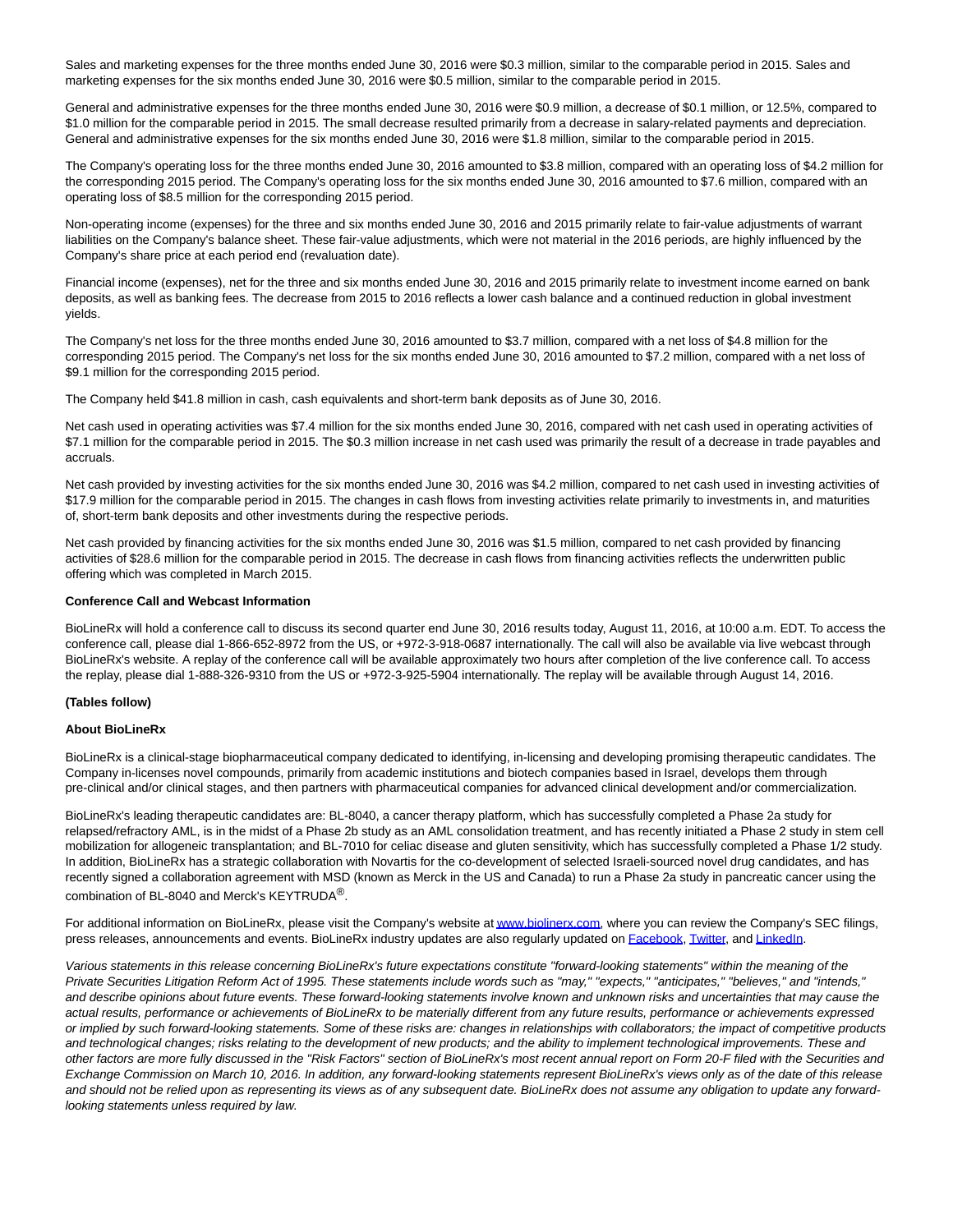Sales and marketing expenses for the three months ended June 30, 2016 were \$0.3 million, similar to the comparable period in 2015. Sales and marketing expenses for the six months ended June 30, 2016 were \$0.5 million, similar to the comparable period in 2015.

General and administrative expenses for the three months ended June 30, 2016 were \$0.9 million, a decrease of \$0.1 million, or 12.5%, compared to \$1.0 million for the comparable period in 2015. The small decrease resulted primarily from a decrease in salary-related payments and depreciation. General and administrative expenses for the six months ended June 30, 2016 were \$1.8 million, similar to the comparable period in 2015.

The Company's operating loss for the three months ended June 30, 2016 amounted to \$3.8 million, compared with an operating loss of \$4.2 million for the corresponding 2015 period. The Company's operating loss for the six months ended June 30, 2016 amounted to \$7.6 million, compared with an operating loss of \$8.5 million for the corresponding 2015 period.

Non-operating income (expenses) for the three and six months ended June 30, 2016 and 2015 primarily relate to fair-value adjustments of warrant liabilities on the Company's balance sheet. These fair-value adjustments, which were not material in the 2016 periods, are highly influenced by the Company's share price at each period end (revaluation date).

Financial income (expenses), net for the three and six months ended June 30, 2016 and 2015 primarily relate to investment income earned on bank deposits, as well as banking fees. The decrease from 2015 to 2016 reflects a lower cash balance and a continued reduction in global investment yields.

The Company's net loss for the three months ended June 30, 2016 amounted to \$3.7 million, compared with a net loss of \$4.8 million for the corresponding 2015 period. The Company's net loss for the six months ended June 30, 2016 amounted to \$7.2 million, compared with a net loss of \$9.1 million for the corresponding 2015 period.

The Company held \$41.8 million in cash, cash equivalents and short-term bank deposits as of June 30, 2016.

Net cash used in operating activities was \$7.4 million for the six months ended June 30, 2016, compared with net cash used in operating activities of \$7.1 million for the comparable period in 2015. The \$0.3 million increase in net cash used was primarily the result of a decrease in trade payables and accruals.

Net cash provided by investing activities for the six months ended June 30, 2016 was \$4.2 million, compared to net cash used in investing activities of \$17.9 million for the comparable period in 2015. The changes in cash flows from investing activities relate primarily to investments in, and maturities of, short-term bank deposits and other investments during the respective periods.

Net cash provided by financing activities for the six months ended June 30, 2016 was \$1.5 million, compared to net cash provided by financing activities of \$28.6 million for the comparable period in 2015. The decrease in cash flows from financing activities reflects the underwritten public offering which was completed in March 2015.

#### **Conference Call and Webcast Information**

BioLineRx will hold a conference call to discuss its second quarter end June 30, 2016 results today, August 11, 2016, at 10:00 a.m. EDT. To access the conference call, please dial 1-866-652-8972 from the US, or +972-3-918-0687 internationally. The call will also be available via live webcast through BioLineRx's website. A replay of the conference call will be available approximately two hours after completion of the live conference call. To access the replay, please dial 1-888-326-9310 from the US or +972-3-925-5904 internationally. The replay will be available through August 14, 2016.

#### **(Tables follow)**

#### **About BioLineRx**

BioLineRx is a clinical-stage biopharmaceutical company dedicated to identifying, in-licensing and developing promising therapeutic candidates. The Company in-licenses novel compounds, primarily from academic institutions and biotech companies based in Israel, develops them through pre-clinical and/or clinical stages, and then partners with pharmaceutical companies for advanced clinical development and/or commercialization.

BioLineRx's leading therapeutic candidates are: BL-8040, a cancer therapy platform, which has successfully completed a Phase 2a study for relapsed/refractory AML, is in the midst of a Phase 2b study as an AML consolidation treatment, and has recently initiated a Phase 2 study in stem cell mobilization for allogeneic transplantation; and BL-7010 for celiac disease and gluten sensitivity, which has successfully completed a Phase 1/2 study. In addition, BioLineRx has a strategic collaboration with Novartis for the co-development of selected Israeli-sourced novel drug candidates, and has recently signed a collaboration agreement with MSD (known as Merck in the US and Canada) to run a Phase 2a study in pancreatic cancer using the combination of BL-8040 and Merck's KEYTRUDA®.

For additional information on BioLineRx, please visit the Company's website a[t www.biolinerx.com,](http://www.biolinerx.com/) where you can review the Company's SEC filings, press releases, announcements and events. BioLineRx industry updates are also regularly updated on [Facebook,](https://www.facebook.com/BioLineRx-786986118113858/?fref=ts) [Twitter,](https://twitter.com/BioLineRx_Ltd) and [LinkedIn.](https://www.linkedin.com/company/biolinerx)

Various statements in this release concerning BioLineRx's future expectations constitute "forward-looking statements" within the meaning of the Private Securities Litigation Reform Act of 1995. These statements include words such as "may," "expects," "anticipates," "believes," and "intends," and describe opinions about future events. These forward-looking statements involve known and unknown risks and uncertainties that may cause the actual results, performance or achievements of BioLineRx to be materially different from any future results, performance or achievements expressed or implied by such forward-looking statements. Some of these risks are: changes in relationships with collaborators; the impact of competitive products and technological changes; risks relating to the development of new products; and the ability to implement technological improvements. These and other factors are more fully discussed in the "Risk Factors" section of BioLineRx's most recent annual report on Form 20-F filed with the Securities and Exchange Commission on March 10, 2016. In addition, any forward-looking statements represent BioLineRx's views only as of the date of this release and should not be relied upon as representing its views as of any subsequent date. BioLineRx does not assume any obligation to update any forwardlooking statements unless required by law.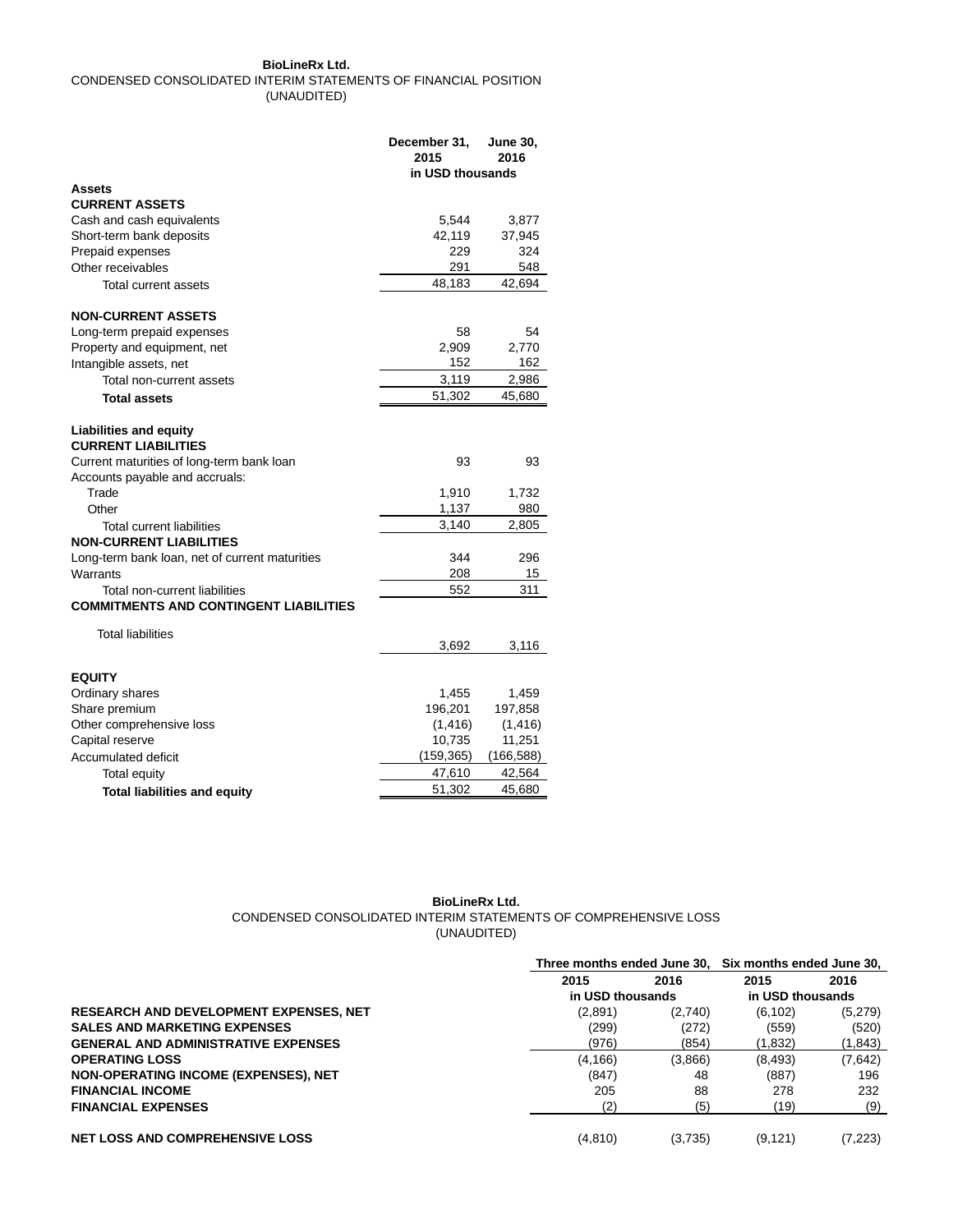#### **BioLineRx Ltd.** CONDENSED CONSOLIDATED INTERIM STATEMENTS OF FINANCIAL POSITION (UNAUDITED)

|                                                                                | December 31,<br>2015 | <b>June 30,</b><br>2016 |  |
|--------------------------------------------------------------------------------|----------------------|-------------------------|--|
|                                                                                | in USD thousands     |                         |  |
| <b>Assets</b>                                                                  |                      |                         |  |
| <b>CURRENT ASSETS</b>                                                          |                      |                         |  |
| Cash and cash equivalents                                                      | 5,544                | 3,877                   |  |
| Short-term bank deposits                                                       | 42,119               | 37,945                  |  |
| Prepaid expenses                                                               | 229                  | 324                     |  |
| Other receivables                                                              | 291                  | 548                     |  |
| Total current assets                                                           | 48,183               | 42,694                  |  |
| <b>NON-CURRENT ASSETS</b>                                                      |                      |                         |  |
| Long-term prepaid expenses                                                     | 58                   | 54                      |  |
| Property and equipment, net                                                    | 2,909                | 2,770                   |  |
| Intangible assets, net                                                         | 152                  | 162                     |  |
| Total non-current assets                                                       | 3,119                | 2,986                   |  |
| <b>Total assets</b>                                                            | 51,302               | 45,680                  |  |
| <b>Liabilities and equity</b><br><b>CURRENT LIABILITIES</b>                    |                      |                         |  |
| Current maturities of long-term bank loan                                      | 93                   | 93                      |  |
| Accounts payable and accruals:                                                 |                      |                         |  |
| Trade                                                                          | 1,910                | 1,732                   |  |
| Other                                                                          | 1,137                | 980                     |  |
| Total current liabilities                                                      | 3,140                | 2,805                   |  |
| <b>NON-CURRENT LIABILITIES</b>                                                 |                      |                         |  |
| Long-term bank loan, net of current maturities                                 | 344                  | 296                     |  |
| Warrants                                                                       | 208                  | 15                      |  |
| Total non-current liabilities<br><b>COMMITMENTS AND CONTINGENT LIABILITIES</b> | 552                  | 311                     |  |
|                                                                                |                      |                         |  |
| <b>Total liabilities</b>                                                       | 3,692                | 3,116                   |  |
| <b>EQUITY</b>                                                                  |                      |                         |  |
| Ordinary shares                                                                | 1,455                | 1,459                   |  |
| Share premium                                                                  | 196,201              | 197,858                 |  |
| Other comprehensive loss                                                       | (1, 416)             | (1, 416)                |  |
| Capital reserve                                                                | 10,735               | 11,251                  |  |
| Accumulated deficit                                                            | (159, 365)           | (166, 588)              |  |
| Total equity                                                                   | 47,610               | 42,564                  |  |
| <b>Total liabilities and equity</b>                                            | 51,302               | 45,680                  |  |

## **BioLineRx Ltd.** CONDENSED CONSOLIDATED INTERIM STATEMENTS OF COMPREHENSIVE LOSS (UNAUDITED)

|                                               | Three months ended June 30. Six months ended June 30, |         |                  |          |
|-----------------------------------------------|-------------------------------------------------------|---------|------------------|----------|
|                                               | 2015                                                  | 2016    | 2015             | 2016     |
|                                               | in USD thousands                                      |         | in USD thousands |          |
| <b>RESEARCH AND DEVELOPMENT EXPENSES. NET</b> | (2,891)                                               | (2,740) | (6, 102)         | (5,279)  |
| <b>SALES AND MARKETING EXPENSES</b>           | (299)                                                 | (272)   | (559)            | (520)    |
| <b>GENERAL AND ADMINISTRATIVE EXPENSES</b>    | (976)                                                 | (854)   | (1,832)          | (1, 843) |
| <b>OPERATING LOSS</b>                         | (4, 166)                                              | (3,866) | (8, 493)         | (7,642)  |
| <b>NON-OPERATING INCOME (EXPENSES), NET</b>   | (847)                                                 | 48      | (887)            | 196      |
| <b>FINANCIAL INCOME</b>                       | 205                                                   | 88      | 278              | 232      |
| <b>FINANCIAL EXPENSES</b>                     | (2)                                                   | (5)     | (19)             | (9)      |
| <b>NET LOSS AND COMPREHENSIVE LOSS</b>        | (4, 810)                                              | (3,735) | (9, 121)         | (7, 223) |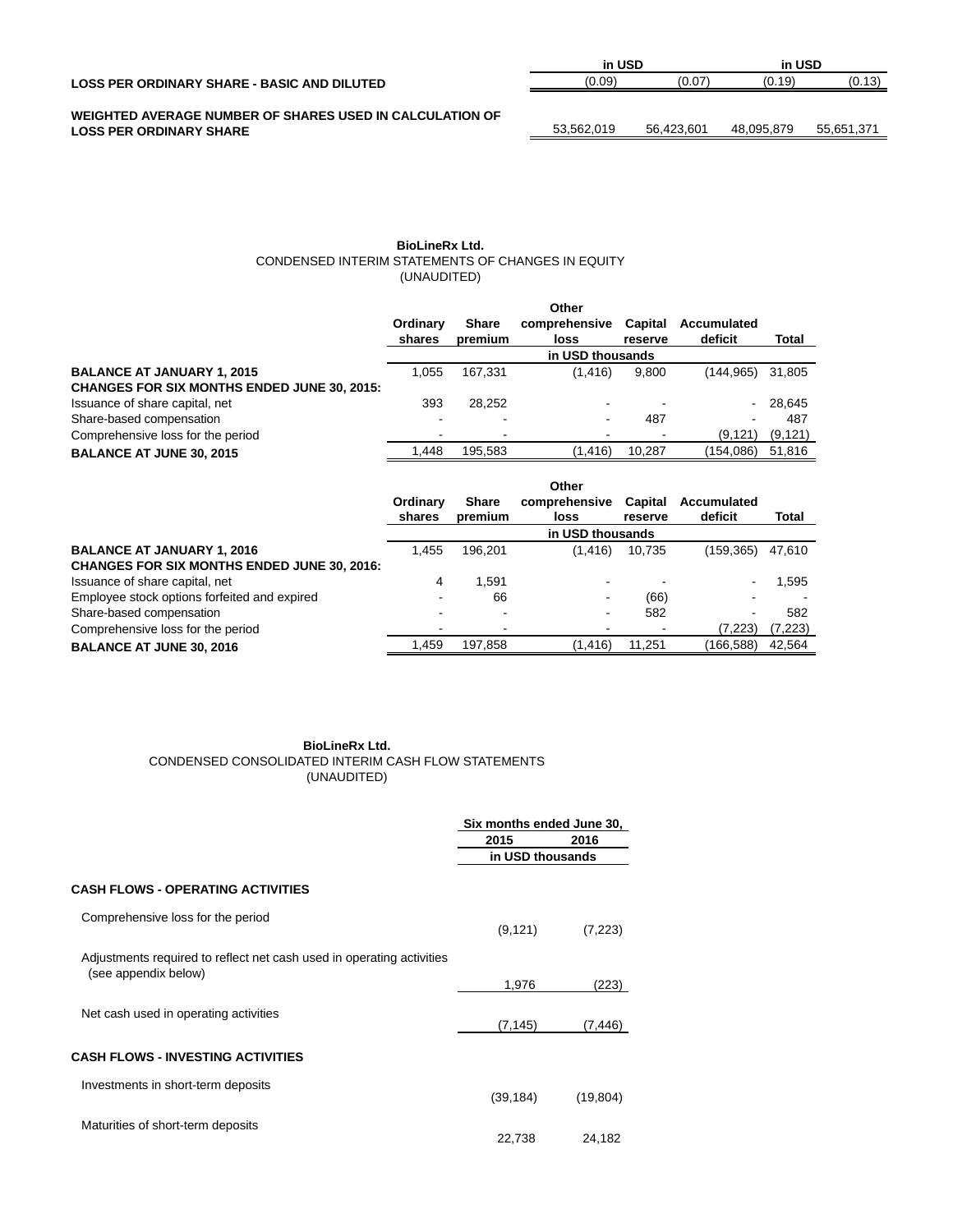|                                                          | in USD     |            | in USD     |            |
|----------------------------------------------------------|------------|------------|------------|------------|
| <b>LOSS PER ORDINARY SHARE - BASIC AND DILUTED</b>       | (0.09)     | (0.07)     | (0.19)     | (0.13)     |
| WEIGHTED AVERAGE NUMBER OF SHARES USED IN CALCULATION OF |            |            |            |            |
| <b>LOSS PER ORDINARY SHARE</b>                           | 53.562.019 | 56.423.601 | 48.095.879 | 55.651.371 |

## **BioLineRx Ltd.** CONDENSED INTERIM STATEMENTS OF CHANGES IN EQUITY (UNAUDITED)

|                                                    |          |              | Other            |         |                |           |
|----------------------------------------------------|----------|--------------|------------------|---------|----------------|-----------|
|                                                    | Ordinary | <b>Share</b> | comprehensive    | Capital | Accumulated    |           |
|                                                    | shares   | premium      | loss             | reserve | deficit        | Total     |
|                                                    |          |              | in USD thousands |         |                |           |
| <b>BALANCE AT JANUARY 1, 2015</b>                  | 1.055    | 167.331      | (1.416)          | 9,800   | (144.965)      | 31,805    |
| <b>CHANGES FOR SIX MONTHS ENDED JUNE 30, 2015:</b> |          |              |                  |         |                |           |
| Issuance of share capital, net                     | 393      | 28.252       |                  | -       |                | $-28.645$ |
| Share-based compensation                           |          |              |                  | 487     | $\blacksquare$ | 487       |
| Comprehensive loss for the period                  |          |              |                  | -       | (9.121)        | (9, 121)  |
| <b>BALANCE AT JUNE 30, 2015</b>                    | .448     | 195.583      | (1.416)          | 10.287  | (154,086)      | 51,816    |

|                                                    |          |                          | Other            |                |                          |          |
|----------------------------------------------------|----------|--------------------------|------------------|----------------|--------------------------|----------|
|                                                    | Ordinary | <b>Share</b>             | comprehensive    | Capital        | Accumulated              |          |
|                                                    | shares   | premium                  | loss             | reserve        | deficit                  | Total    |
|                                                    |          |                          | in USD thousands |                |                          |          |
| <b>BALANCE AT JANUARY 1, 2016</b>                  | 1.455    | 196.201                  | (1, 416)         | 10.735         | (159.365)                | 47.610   |
| <b>CHANGES FOR SIX MONTHS ENDED JUNE 30, 2016:</b> |          |                          |                  |                |                          |          |
| Issuance of share capital, net                     | 4        | 1.591                    |                  |                | $\overline{\phantom{0}}$ | 1,595    |
| Employee stock options forfeited and expired       |          | 66                       |                  | (66)           | $\,$                     |          |
| Share-based compensation                           |          | $\blacksquare$           |                  | 582            | $\,$                     | 582      |
| Comprehensive loss for the period                  |          | $\overline{\phantom{a}}$ |                  | $\blacksquare$ | (7.223)                  | (7, 223) |
| <b>BALANCE AT JUNE 30, 2016</b>                    | 1,459    | 197,858                  | (1,416)          | 11,251         | (166,588)                | 42,564   |

## **BioLineRx Ltd.** CONDENSED CONSOLIDATED INTERIM CASH FLOW STATEMENTS (UNAUDITED)

|                                                                                               | Six months ended June 30, |           |  |
|-----------------------------------------------------------------------------------------------|---------------------------|-----------|--|
|                                                                                               | 2015                      | 2016      |  |
|                                                                                               | in USD thousands          |           |  |
| <b>CASH FLOWS - OPERATING ACTIVITIES</b>                                                      |                           |           |  |
| Comprehensive loss for the period                                                             | (9, 121)                  | (7,223)   |  |
| Adjustments required to reflect net cash used in operating activities<br>(see appendix below) | 1,976                     | (223)     |  |
| Net cash used in operating activities                                                         | (7, 145)                  | (7,446)   |  |
| <b>CASH FLOWS - INVESTING ACTIVITIES</b>                                                      |                           |           |  |
| Investments in short-term deposits                                                            | (39, 184)                 | (19, 804) |  |
| Maturities of short-term deposits                                                             | 22,738                    | 24,182    |  |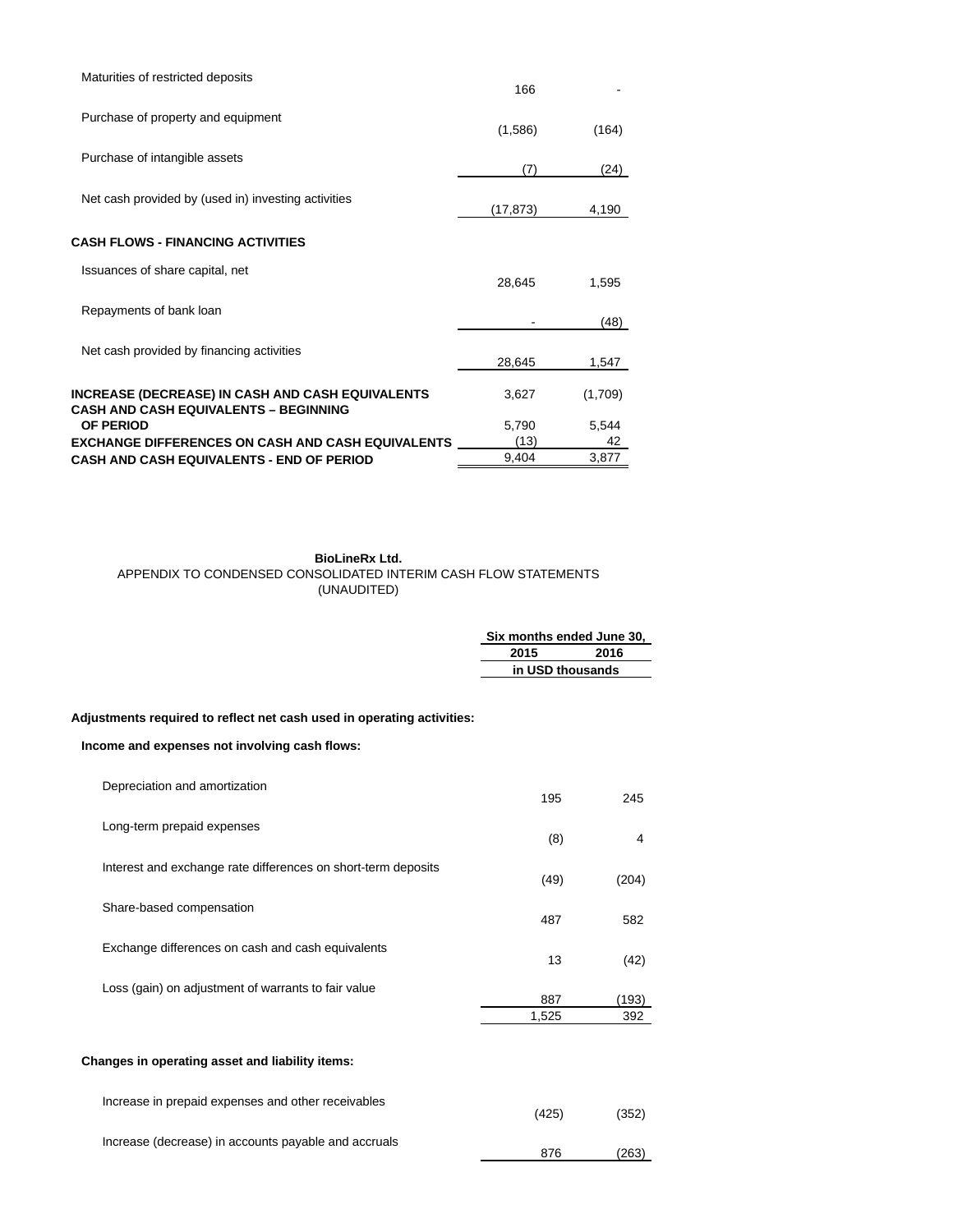| Maturities of restricted deposits                                                                | 166      |         |
|--------------------------------------------------------------------------------------------------|----------|---------|
| Purchase of property and equipment                                                               | (1,586)  | (164)   |
| Purchase of intangible assets                                                                    | (7)      | (24)    |
| Net cash provided by (used in) investing activities                                              | (17,873) | 4,190   |
| <b>CASH FLOWS - FINANCING ACTIVITIES</b>                                                         |          |         |
| Issuances of share capital, net                                                                  | 28,645   | 1,595   |
| Repayments of bank loan                                                                          |          | (48)    |
| Net cash provided by financing activities                                                        | 28,645   | 1,547   |
| INCREASE (DECREASE) IN CASH AND CASH EQUIVALENTS<br><b>CASH AND CASH EQUIVALENTS – BEGINNING</b> | 3,627    | (1,709) |
| OF PERIOD                                                                                        | 5,790    | 5,544   |
| <b>EXCHANGE DIFFERENCES ON CASH AND CASH EQUIVALENTS</b>                                         | (13)     | 42      |
| CASH AND CASH EQUIVALENTS - END OF PERIOD                                                        | 9,404    | 3,877   |

## **BioLineRx Ltd.** APPENDIX TO CONDENSED CONSOLIDATED INTERIM CASH FLOW STATEMENTS (UNAUDITED)

876 (263)

## **Adjustments required to reflect net cash used in operating activities:**

## **Income and expenses not involving cash flows:**

| Depreciation and amortization                                 | 195          | 245          |
|---------------------------------------------------------------|--------------|--------------|
| Long-term prepaid expenses                                    | (8)          | 4            |
| Interest and exchange rate differences on short-term deposits | (49)         | (204)        |
| Share-based compensation                                      | 487          | 582          |
| Exchange differences on cash and cash equivalents             | 13           | (42)         |
| Loss (gain) on adjustment of warrants to fair value           | 887<br>1,525 | (193)<br>392 |
| Changes in operating asset and liability items:               |              |              |
| Increase in prepaid expenses and other receivables            | (425)        | (352)        |
| Increase (decrease) in accounts payable and accruals          | $\sim$       | (0.00)       |